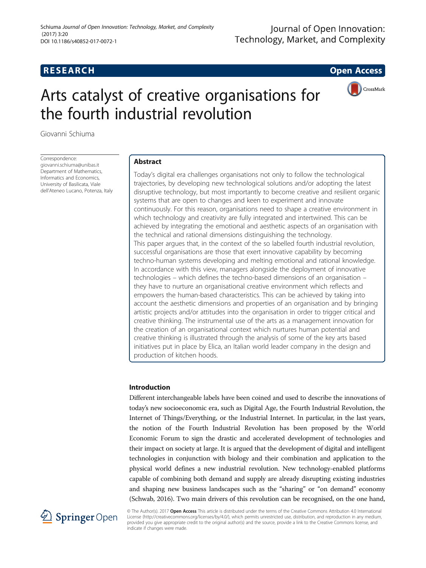# Arts catalyst of creative organisations for the fourth industrial revolution



Giovanni Schiuma

Correspondence: [giovanni.schiuma@unibas.it](mailto:giovanni.schiuma@unibas.it) Department of Mathematics, Informatics and Economics, University of Basilicata, Viale dell'Ateneo Lucano, Potenza, Italy

# Abstract

Today's digital era challenges organisations not only to follow the technological trajectories, by developing new technological solutions and/or adopting the latest disruptive technology, but most importantly to become creative and resilient organic systems that are open to changes and keen to experiment and innovate continuously. For this reason, organisations need to shape a creative environment in which technology and creativity are fully integrated and intertwined. This can be achieved by integrating the emotional and aesthetic aspects of an organisation with the technical and rational dimensions distinguishing the technology. This paper argues that, in the context of the so labelled fourth industrial revolution, successful organisations are those that exert innovative capability by becoming techno-human systems developing and melting emotional and rational knowledge. In accordance with this view, managers alongside the deployment of innovative technologies – which defines the techno-based dimensions of an organisation – they have to nurture an organisational creative environment which reflects and empowers the human-based characteristics. This can be achieved by taking into account the aesthetic dimensions and properties of an organisation and by bringing artistic projects and/or attitudes into the organisation in order to trigger critical and creative thinking. The instrumental use of the arts as a management innovation for the creation of an organisational context which nurtures human potential and creative thinking is illustrated through the analysis of some of the key arts based initiatives put in place by Elica, an Italian world leader company in the design and production of kitchen hoods.

# Introduction

Different interchangeable labels have been coined and used to describe the innovations of today's new socioeconomic era, such as Digital Age, the Fourth Industrial Revolution, the Internet of Things/Everything, or the Industrial Internet. In particular, in the last years, the notion of the Fourth Industrial Revolution has been proposed by the World Economic Forum to sign the drastic and accelerated development of technologies and their impact on society at large. It is argued that the development of digital and intelligent technologies in conjunction with biology and their combination and application to the physical world defines a new industrial revolution. New technology-enabled platforms capable of combining both demand and supply are already disrupting existing industries and shaping new business landscapes such as the "sharing" or "on demand" economy (Schwab, [2016\)](#page-11-0). Two main drivers of this revolution can be recognised, on the one hand,



© The Author(s). 2017 Open Access This article is distributed under the terms of the Creative Commons Attribution 4.0 International License [\(http://creativecommons.org/licenses/by/4.0/](http://creativecommons.org/licenses/by/4.0/)), which permits unrestricted use, distribution, and reproduction in any medium, provided you give appropriate credit to the original author(s) and the source, provide a link to the Creative Commons license, and indicate if changes were made.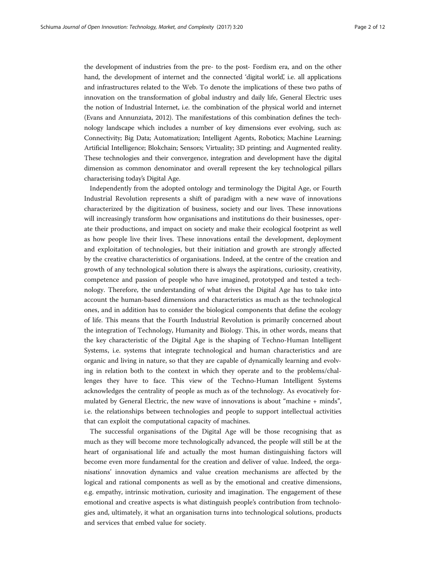the development of industries from the pre- to the post- Fordism era, and on the other hand, the development of internet and the connected 'digital world', i.e. all applications and infrastructures related to the Web. To denote the implications of these two paths of innovation on the transformation of global industry and daily life, General Electric uses the notion of Industrial Internet, i.e. the combination of the physical world and internet (Evans and Annunziata, [2012\)](#page-11-0). The manifestations of this combination defines the technology landscape which includes a number of key dimensions ever evolving, such as: Connectivity; Big Data; Automatization; Intelligent Agents, Robotics; Machine Learning; Artificial Intelligence; Blokchain; Sensors; Virtuality; 3D printing; and Augmented reality. These technologies and their convergence, integration and development have the digital dimension as common denominator and overall represent the key technological pillars characterising today's Digital Age.

Independently from the adopted ontology and terminology the Digital Age, or Fourth Industrial Revolution represents a shift of paradigm with a new wave of innovations characterized by the digitization of business, society and our lives. These innovations will increasingly transform how organisations and institutions do their businesses, operate their productions, and impact on society and make their ecological footprint as well as how people live their lives. These innovations entail the development, deployment and exploitation of technologies, but their initiation and growth are strongly affected by the creative characteristics of organisations. Indeed, at the centre of the creation and growth of any technological solution there is always the aspirations, curiosity, creativity, competence and passion of people who have imagined, prototyped and tested a technology. Therefore, the understanding of what drives the Digital Age has to take into account the human-based dimensions and characteristics as much as the technological ones, and in addition has to consider the biological components that define the ecology of life. This means that the Fourth Industrial Revolution is primarily concerned about the integration of Technology, Humanity and Biology. This, in other words, means that the key characteristic of the Digital Age is the shaping of Techno-Human Intelligent Systems, i.e. systems that integrate technological and human characteristics and are organic and living in nature, so that they are capable of dynamically learning and evolving in relation both to the context in which they operate and to the problems/challenges they have to face. This view of the Techno-Human Intelligent Systems acknowledges the centrality of people as much as of the technology. As evocatively formulated by General Electric, the new wave of innovations is about "machine + minds", i.e. the relationships between technologies and people to support intellectual activities that can exploit the computational capacity of machines.

The successful organisations of the Digital Age will be those recognising that as much as they will become more technologically advanced, the people will still be at the heart of organisational life and actually the most human distinguishing factors will become even more fundamental for the creation and deliver of value. Indeed, the organisations' innovation dynamics and value creation mechanisms are affected by the logical and rational components as well as by the emotional and creative dimensions, e.g. empathy, intrinsic motivation, curiosity and imagination. The engagement of these emotional and creative aspects is what distinguish people's contribution from technologies and, ultimately, it what an organisation turns into technological solutions, products and services that embed value for society.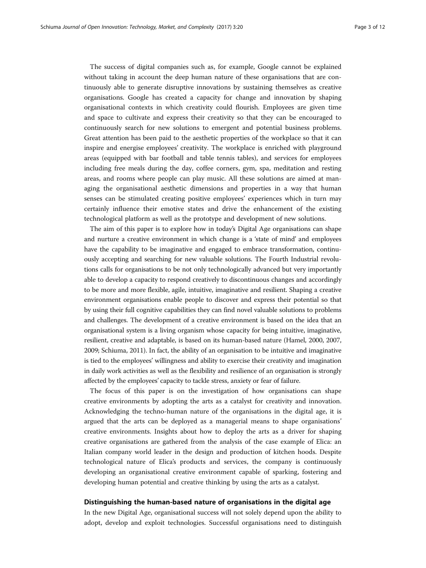The success of digital companies such as, for example, Google cannot be explained without taking in account the deep human nature of these organisations that are continuously able to generate disruptive innovations by sustaining themselves as creative organisations. Google has created a capacity for change and innovation by shaping organisational contexts in which creativity could flourish. Employees are given time and space to cultivate and express their creativity so that they can be encouraged to continuously search for new solutions to emergent and potential business problems. Great attention has been paid to the aesthetic properties of the workplace so that it can inspire and energise employees' creativity. The workplace is enriched with playground areas (equipped with bar football and table tennis tables), and services for employees including free meals during the day, coffee corners, gym, spa, meditation and resting areas, and rooms where people can play music. All these solutions are aimed at managing the organisational aesthetic dimensions and properties in a way that human senses can be stimulated creating positive employees' experiences which in turn may certainly influence their emotive states and drive the enhancement of the existing technological platform as well as the prototype and development of new solutions.

The aim of this paper is to explore how in today's Digital Age organisations can shape and nurture a creative environment in which change is a 'state of mind' and employees have the capability to be imaginative and engaged to embrace transformation, continuously accepting and searching for new valuable solutions. The Fourth Industrial revolutions calls for organisations to be not only technologically advanced but very importantly able to develop a capacity to respond creatively to discontinuous changes and accordingly to be more and more flexible, agile, intuitive, imaginative and resilient. Shaping a creative environment organisations enable people to discover and express their potential so that by using their full cognitive capabilities they can find novel valuable solutions to problems and challenges. The development of a creative environment is based on the idea that an organisational system is a living organism whose capacity for being intuitive, imaginative, resilient, creative and adaptable, is based on its human-based nature (Hamel, [2000](#page-11-0), [2007](#page-11-0), [2009;](#page-11-0) Schiuma, [2011\)](#page-11-0). In fact, the ability of an organisation to be intuitive and imaginative is tied to the employees' willingness and ability to exercise their creativity and imagination in daily work activities as well as the flexibility and resilience of an organisation is strongly affected by the employees' capacity to tackle stress, anxiety or fear of failure.

The focus of this paper is on the investigation of how organisations can shape creative environments by adopting the arts as a catalyst for creativity and innovation. Acknowledging the techno-human nature of the organisations in the digital age, it is argued that the arts can be deployed as a managerial means to shape organisations' creative environments. Insights about how to deploy the arts as a driver for shaping creative organisations are gathered from the analysis of the case example of Elica: an Italian company world leader in the design and production of kitchen hoods. Despite technological nature of Elica's products and services, the company is continuously developing an organisational creative environment capable of sparking, fostering and developing human potential and creative thinking by using the arts as a catalyst.

## Distinguishing the human-based nature of organisations in the digital age

In the new Digital Age, organisational success will not solely depend upon the ability to adopt, develop and exploit technologies. Successful organisations need to distinguish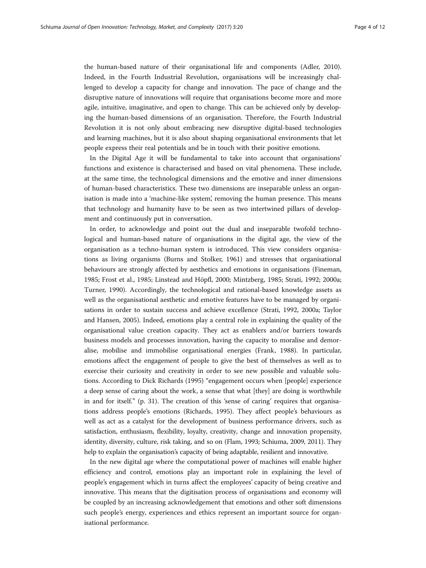the human-based nature of their organisational life and components (Adler, [2010](#page-11-0)). Indeed, in the Fourth Industrial Revolution, organisations will be increasingly challenged to develop a capacity for change and innovation. The pace of change and the disruptive nature of innovations will require that organisations become more and more agile, intuitive, imaginative, and open to change. This can be achieved only by developing the human-based dimensions of an organisation. Therefore, the Fourth Industrial Revolution it is not only about embracing new disruptive digital-based technologies and learning machines, but it is also about shaping organisational environments that let people express their real potentials and be in touch with their positive emotions.

In the Digital Age it will be fundamental to take into account that organisations' functions and existence is characterised and based on vital phenomena. These include, at the same time, the technological dimensions and the emotive and inner dimensions of human-based characteristics. These two dimensions are inseparable unless an organisation is made into a 'machine-like system', removing the human presence. This means that technology and humanity have to be seen as two intertwined pillars of development and continuously put in conversation.

In order, to acknowledge and point out the dual and inseparable twofold technological and human-based nature of organisations in the digital age, the view of the organisation as a techno-human system is introduced. This view considers organisations as living organisms (Burns and Stolker, [1961\)](#page-11-0) and stresses that organisational behaviours are strongly affected by aesthetics and emotions in organisations (Fineman, [1985](#page-11-0); Frost et al., [1985](#page-11-0); Linstead and Höpfl, [2000;](#page-11-0) Mintzberg, [1985;](#page-11-0) Strati, [1992](#page-11-0); [2000a](#page-11-0); Turner, [1990\)](#page-11-0). Accordingly, the technological and rational-based knowledge assets as well as the organisational aesthetic and emotive features have to be managed by organisations in order to sustain success and achieve excellence (Strati, [1992, 2000a;](#page-11-0) Taylor and Hansen, [2005\)](#page-11-0). Indeed, emotions play a central role in explaining the quality of the organisational value creation capacity. They act as enablers and/or barriers towards business models and processes innovation, having the capacity to moralise and demoralise, mobilise and immobilise organisational energies (Frank, [1988](#page-11-0)). In particular, emotions affect the engagement of people to give the best of themselves as well as to exercise their curiosity and creativity in order to see new possible and valuable solutions. According to Dick Richards [\(1995\)](#page-11-0) "engagement occurs when [people] experience a deep sense of caring about the work, a sense that what [they] are doing is worthwhile in and for itself." (p. 31). The creation of this 'sense of caring' requires that organisations address people's emotions (Richards, [1995\)](#page-11-0). They affect people's behaviours as well as act as a catalyst for the development of business performance drivers, such as satisfaction, enthusiasm, flexibility, loyalty, creativity, change and innovation propensity, identity, diversity, culture, risk taking, and so on (Flam, [1993](#page-11-0); Schiuma, [2009](#page-11-0), [2011](#page-11-0)). They help to explain the organisation's capacity of being adaptable, resilient and innovative.

In the new digital age where the computational power of machines will enable higher efficiency and control, emotions play an important role in explaining the level of people's engagement which in turns affect the employees' capacity of being creative and innovative. This means that the digitisation process of organisations and economy will be coupled by an increasing acknowledgement that emotions and other soft dimensions such people's energy, experiences and ethics represent an important source for organisational performance.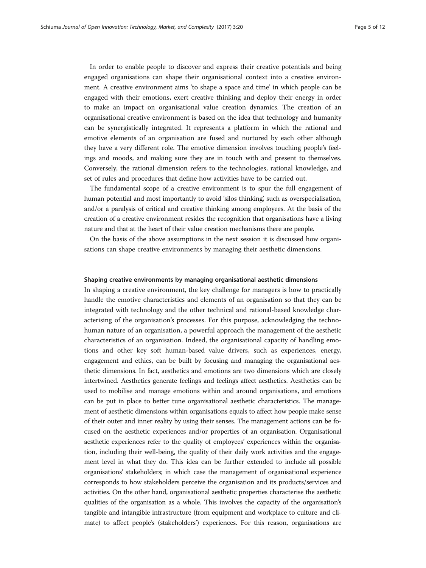In order to enable people to discover and express their creative potentials and being engaged organisations can shape their organisational context into a creative environment. A creative environment aims 'to shape a space and time' in which people can be engaged with their emotions, exert creative thinking and deploy their energy in order to make an impact on organisational value creation dynamics. The creation of an organisational creative environment is based on the idea that technology and humanity can be synergistically integrated. It represents a platform in which the rational and emotive elements of an organisation are fused and nurtured by each other although they have a very different role. The emotive dimension involves touching people's feelings and moods, and making sure they are in touch with and present to themselves. Conversely, the rational dimension refers to the technologies, rational knowledge, and set of rules and procedures that define how activities have to be carried out.

The fundamental scope of a creative environment is to spur the full engagement of human potential and most importantly to avoid 'silos thinking', such as overspecialisation, and/or a paralysis of critical and creative thinking among employees. At the basis of the creation of a creative environment resides the recognition that organisations have a living nature and that at the heart of their value creation mechanisms there are people.

On the basis of the above assumptions in the next session it is discussed how organisations can shape creative environments by managing their aesthetic dimensions.

## Shaping creative environments by managing organisational aesthetic dimensions

In shaping a creative environment, the key challenge for managers is how to practically handle the emotive characteristics and elements of an organisation so that they can be integrated with technology and the other technical and rational-based knowledge characterising of the organisation's processes. For this purpose, acknowledging the technohuman nature of an organisation, a powerful approach the management of the aesthetic characteristics of an organisation. Indeed, the organisational capacity of handling emotions and other key soft human-based value drivers, such as experiences, energy, engagement and ethics, can be built by focusing and managing the organisational aesthetic dimensions. In fact, aesthetics and emotions are two dimensions which are closely intertwined. Aesthetics generate feelings and feelings affect aesthetics. Aesthetics can be used to mobilise and manage emotions within and around organisations, and emotions can be put in place to better tune organisational aesthetic characteristics. The management of aesthetic dimensions within organisations equals to affect how people make sense of their outer and inner reality by using their senses. The management actions can be focused on the aesthetic experiences and/or properties of an organisation. Organisational aesthetic experiences refer to the quality of employees' experiences within the organisation, including their well-being, the quality of their daily work activities and the engagement level in what they do. This idea can be further extended to include all possible organisations' stakeholders; in which case the management of organisational experience corresponds to how stakeholders perceive the organisation and its products/services and activities. On the other hand, organisational aesthetic properties characterise the aesthetic qualities of the organisation as a whole. This involves the capacity of the organisation's tangible and intangible infrastructure (from equipment and workplace to culture and climate) to affect people's (stakeholders') experiences. For this reason, organisations are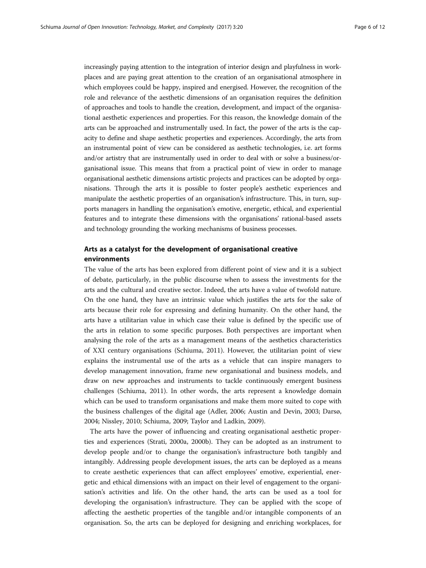increasingly paying attention to the integration of interior design and playfulness in workplaces and are paying great attention to the creation of an organisational atmosphere in which employees could be happy, inspired and energised. However, the recognition of the role and relevance of the aesthetic dimensions of an organisation requires the definition of approaches and tools to handle the creation, development, and impact of the organisational aesthetic experiences and properties. For this reason, the knowledge domain of the arts can be approached and instrumentally used. In fact, the power of the arts is the capacity to define and shape aesthetic properties and experiences. Accordingly, the arts from an instrumental point of view can be considered as aesthetic technologies, i.e. art forms and/or artistry that are instrumentally used in order to deal with or solve a business/organisational issue. This means that from a practical point of view in order to manage organisational aesthetic dimensions artistic projects and practices can be adopted by organisations. Through the arts it is possible to foster people's aesthetic experiences and manipulate the aesthetic properties of an organisation's infrastructure. This, in turn, supports managers in handling the organisation's emotive, energetic, ethical, and experiential features and to integrate these dimensions with the organisations' rational-based assets and technology grounding the working mechanisms of business processes.

# Arts as a catalyst for the development of organisational creative environments

The value of the arts has been explored from different point of view and it is a subject of debate, particularly, in the public discourse when to assess the investments for the arts and the cultural and creative sector. Indeed, the arts have a value of twofold nature. On the one hand, they have an intrinsic value which justifies the arts for the sake of arts because their role for expressing and defining humanity. On the other hand, the arts have a utilitarian value in which case their value is defined by the specific use of the arts in relation to some specific purposes. Both perspectives are important when analysing the role of the arts as a management means of the aesthetics characteristics of XXI century organisations (Schiuma, [2011\)](#page-11-0). However, the utilitarian point of view explains the instrumental use of the arts as a vehicle that can inspire managers to develop management innovation, frame new organisational and business models, and draw on new approaches and instruments to tackle continuously emergent business challenges (Schiuma, [2011](#page-11-0)). In other words, the arts represent a knowledge domain which can be used to transform organisations and make them more suited to cope with the business challenges of the digital age (Adler, [2006](#page-11-0); Austin and Devin, [2003;](#page-11-0) Darsø, [2004](#page-11-0); Nissley, [2010](#page-11-0); Schiuma, [2009](#page-11-0); Taylor and Ladkin, [2009\)](#page-11-0).

The arts have the power of influencing and creating organisational aesthetic properties and experiences (Strati, [2000a](#page-11-0), [2000b](#page-11-0)). They can be adopted as an instrument to develop people and/or to change the organisation's infrastructure both tangibly and intangibly. Addressing people development issues, the arts can be deployed as a means to create aesthetic experiences that can affect employees' emotive, experiential, energetic and ethical dimensions with an impact on their level of engagement to the organisation's activities and life. On the other hand, the arts can be used as a tool for developing the organisation's infrastructure. They can be applied with the scope of affecting the aesthetic properties of the tangible and/or intangible components of an organisation. So, the arts can be deployed for designing and enriching workplaces, for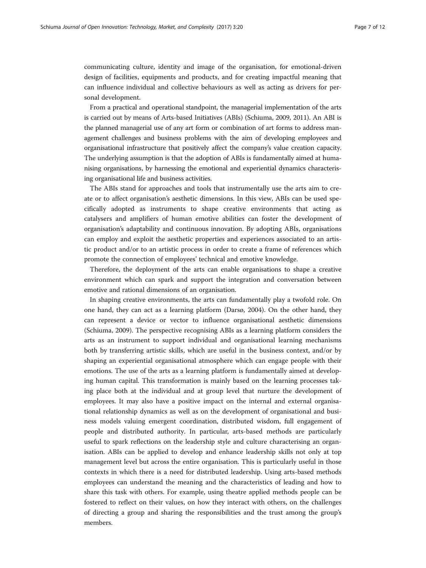communicating culture, identity and image of the organisation, for emotional-driven design of facilities, equipments and products, and for creating impactful meaning that can influence individual and collective behaviours as well as acting as drivers for personal development.

From a practical and operational standpoint, the managerial implementation of the arts is carried out by means of Arts-based Initiatives (ABIs) (Schiuma, [2009, 2011](#page-11-0)). An ABI is the planned managerial use of any art form or combination of art forms to address management challenges and business problems with the aim of developing employees and organisational infrastructure that positively affect the company's value creation capacity. The underlying assumption is that the adoption of ABIs is fundamentally aimed at humanising organisations, by harnessing the emotional and experiential dynamics characterising organisational life and business activities.

The ABIs stand for approaches and tools that instrumentally use the arts aim to create or to affect organisation's aesthetic dimensions. In this view, ABIs can be used specifically adopted as instruments to shape creative environments that acting as catalysers and amplifiers of human emotive abilities can foster the development of organisation's adaptability and continuous innovation. By adopting ABIs, organisations can employ and exploit the aesthetic properties and experiences associated to an artistic product and/or to an artistic process in order to create a frame of references which promote the connection of employees' technical and emotive knowledge.

Therefore, the deployment of the arts can enable organisations to shape a creative environment which can spark and support the integration and conversation between emotive and rational dimensions of an organisation.

In shaping creative environments, the arts can fundamentally play a twofold role. On one hand, they can act as a learning platform (Darsø, [2004](#page-11-0)). On the other hand, they can represent a device or vector to influence organisational aesthetic dimensions (Schiuma, [2009](#page-11-0)). The perspective recognising ABIs as a learning platform considers the arts as an instrument to support individual and organisational learning mechanisms both by transferring artistic skills, which are useful in the business context, and/or by shaping an experiential organisational atmosphere which can engage people with their emotions. The use of the arts as a learning platform is fundamentally aimed at developing human capital. This transformation is mainly based on the learning processes taking place both at the individual and at group level that nurture the development of employees. It may also have a positive impact on the internal and external organisational relationship dynamics as well as on the development of organisational and business models valuing emergent coordination, distributed wisdom, full engagement of people and distributed authority. In particular, arts-based methods are particularly useful to spark reflections on the leadership style and culture characterising an organisation. ABIs can be applied to develop and enhance leadership skills not only at top management level but across the entire organisation. This is particularly useful in those contexts in which there is a need for distributed leadership. Using arts-based methods employees can understand the meaning and the characteristics of leading and how to share this task with others. For example, using theatre applied methods people can be fostered to reflect on their values, on how they interact with others, on the challenges of directing a group and sharing the responsibilities and the trust among the group's members.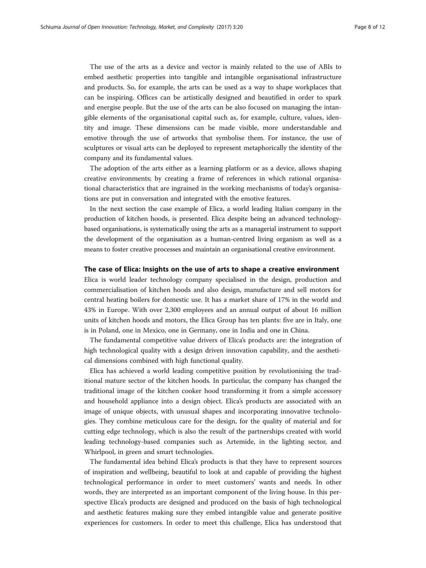The use of the arts as a device and vector is mainly related to the use of ABIs to embed aesthetic properties into tangible and intangible organisational infrastructure and products. So, for example, the arts can be used as a way to shape workplaces that can be inspiring. Offices can be artistically designed and beautified in order to spark and energise people. But the use of the arts can be also focused on managing the intangible elements of the organisational capital such as, for example, culture, values, identity and image. These dimensions can be made visible, more understandable and emotive through the use of artworks that symbolise them. For instance, the use of sculptures or visual arts can be deployed to represent metaphorically the identity of the company and its fundamental values.

The adoption of the arts either as a learning platform or as a device, allows shaping creative environments; by creating a frame of references in which rational organisational characteristics that are ingrained in the working mechanisms of today's organisations are put in conversation and integrated with the emotive features.

In the next section the case example of Elica, a world leading Italian company in the production of kitchen hoods, is presented. Elica despite being an advanced technologybased organisations, is systematically using the arts as a managerial instrument to support the development of the organisation as a human-centred living organism as well as a means to foster creative processes and maintain an organisational creative environment.

# The case of Elica: Insights on the use of arts to shape a creative environment

Elica is world leader technology company specialised in the design, production and commercialisation of kitchen hoods and also design, manufacture and sell motors for central heating boilers for domestic use. It has a market share of 17% in the world and 43% in Europe. With over 2,300 employees and an annual output of about 16 million units of kitchen hoods and motors, the Elica Group has ten plants: five are in Italy, one is in Poland, one in Mexico, one in Germany, one in India and one in China.

The fundamental competitive value drivers of Elica's products are: the integration of high technological quality with a design driven innovation capability, and the aesthetical dimensions combined with high functional quality.

Elica has achieved a world leading competitive position by revolutionising the traditional mature sector of the kitchen hoods. In particular, the company has changed the traditional image of the kitchen cooker hood transforming it from a simple accessory and household appliance into a design object. Elica's products are associated with an image of unique objects, with unusual shapes and incorporating innovative technologies. They combine meticulous care for the design, for the quality of material and for cutting edge technology, which is also the result of the partnerships created with world leading technology-based companies such as Artemide, in the lighting sector, and Whirlpool, in green and smart technologies.

The fundamental idea behind Elica's products is that they have to represent sources of inspiration and wellbeing, beautiful to look at and capable of providing the highest technological performance in order to meet customers' wants and needs. In other words, they are interpreted as an important component of the living house. In this perspective Elica's products are designed and produced on the basis of high technological and aesthetic features making sure they embed intangible value and generate positive experiences for customers. In order to meet this challenge, Elica has understood that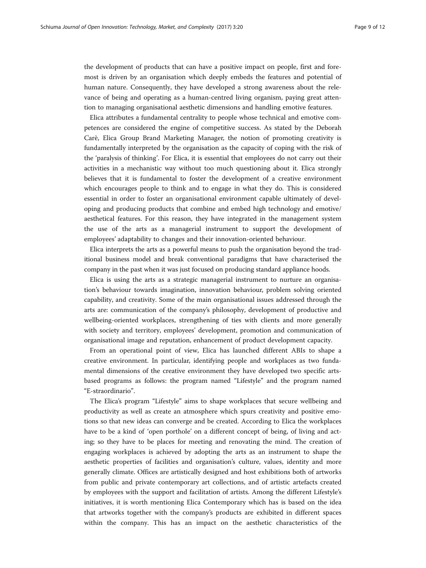the development of products that can have a positive impact on people, first and foremost is driven by an organisation which deeply embeds the features and potential of human nature. Consequently, they have developed a strong awareness about the relevance of being and operating as a human-centred living organism, paying great attention to managing organisational aesthetic dimensions and handling emotive features.

Elica attributes a fundamental centrality to people whose technical and emotive competences are considered the engine of competitive success. As stated by the Deborah Carè, Elica Group Brand Marketing Manager, the notion of promoting creativity is fundamentally interpreted by the organisation as the capacity of coping with the risk of the 'paralysis of thinking'. For Elica, it is essential that employees do not carry out their activities in a mechanistic way without too much questioning about it. Elica strongly believes that it is fundamental to foster the development of a creative environment which encourages people to think and to engage in what they do. This is considered essential in order to foster an organisational environment capable ultimately of developing and producing products that combine and embed high technology and emotive/ aesthetical features. For this reason, they have integrated in the management system the use of the arts as a managerial instrument to support the development of employees' adaptability to changes and their innovation-oriented behaviour.

Elica interprets the arts as a powerful means to push the organisation beyond the traditional business model and break conventional paradigms that have characterised the company in the past when it was just focused on producing standard appliance hoods.

Elica is using the arts as a strategic managerial instrument to nurture an organisation's behaviour towards imagination, innovation behaviour, problem solving oriented capability, and creativity. Some of the main organisational issues addressed through the arts are: communication of the company's philosophy, development of productive and wellbeing-oriented workplaces, strengthening of ties with clients and more generally with society and territory, employees' development, promotion and communication of organisational image and reputation, enhancement of product development capacity.

From an operational point of view, Elica has launched different ABIs to shape a creative environment. In particular, identifying people and workplaces as two fundamental dimensions of the creative environment they have developed two specific artsbased programs as follows: the program named "Lifestyle" and the program named "E-straordinario".

The Elica's program "Lifestyle" aims to shape workplaces that secure wellbeing and productivity as well as create an atmosphere which spurs creativity and positive emotions so that new ideas can converge and be created. According to Elica the workplaces have to be a kind of 'open porthole' on a different concept of being, of living and acting; so they have to be places for meeting and renovating the mind. The creation of engaging workplaces is achieved by adopting the arts as an instrument to shape the aesthetic properties of facilities and organisation's culture, values, identity and more generally climate. Offices are artistically designed and host exhibitions both of artworks from public and private contemporary art collections, and of artistic artefacts created by employees with the support and facilitation of artists. Among the different Lifestyle's initiatives, it is worth mentioning Elica Contemporary which has is based on the idea that artworks together with the company's products are exhibited in different spaces within the company. This has an impact on the aesthetic characteristics of the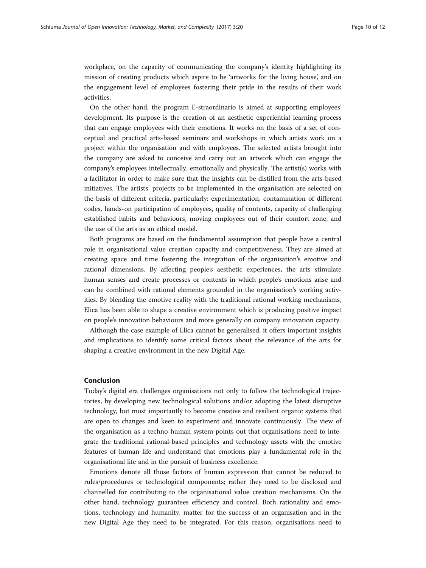workplace, on the capacity of communicating the company's identity highlighting its mission of creating products which aspire to be 'artworks for the living house', and on the engagement level of employees fostering their pride in the results of their work activities.

On the other hand, the program E-straordinario is aimed at supporting employees' development. Its purpose is the creation of an aesthetic experiential learning process that can engage employees with their emotions. It works on the basis of a set of conceptual and practical arts-based seminars and workshops in which artists work on a project within the organisation and with employees. The selected artists brought into the company are asked to conceive and carry out an artwork which can engage the company's employees intellectually, emotionally and physically. The artist(s) works with a facilitator in order to make sure that the insights can be distilled from the arts-based initiatives. The artists' projects to be implemented in the organisation are selected on the basis of different criteria, particularly: experimentation, contamination of different codes, hands-on participation of employees, quality of contents, capacity of challenging established habits and behaviours, moving employees out of their comfort zone, and the use of the arts as an ethical model.

Both programs are based on the fundamental assumption that people have a central role in organisational value creation capacity and competitiveness. They are aimed at creating space and time fostering the integration of the organisation's emotive and rational dimensions. By affecting people's aesthetic experiences, the arts stimulate human senses and create processes or contexts in which people's emotions arise and can be combined with rational elements grounded in the organisation's working activities. By blending the emotive reality with the traditional rational working mechanisms, Elica has been able to shape a creative environment which is producing positive impact on people's innovation behaviours and more generally on company innovation capacity.

Although the case example of Elica cannot be generalised, it offers important insights and implications to identify some critical factors about the relevance of the arts for shaping a creative environment in the new Digital Age.

## Conclusion

Today's digital era challenges organisations not only to follow the technological trajectories, by developing new technological solutions and/or adopting the latest disruptive technology, but most importantly to become creative and resilient organic systems that are open to changes and keen to experiment and innovate continuously. The view of the organisation as a techno-human system points out that organisations need to integrate the traditional rational-based principles and technology assets with the emotive features of human life and understand that emotions play a fundamental role in the organisational life and in the pursuit of business excellence.

Emotions denote all those factors of human expression that cannot be reduced to rules/procedures or technological components; rather they need to be disclosed and channelled for contributing to the organisational value creation mechanisms. On the other hand, technology guarantees efficiency and control. Both rationality and emotions, technology and humanity, matter for the success of an organisation and in the new Digital Age they need to be integrated. For this reason, organisations need to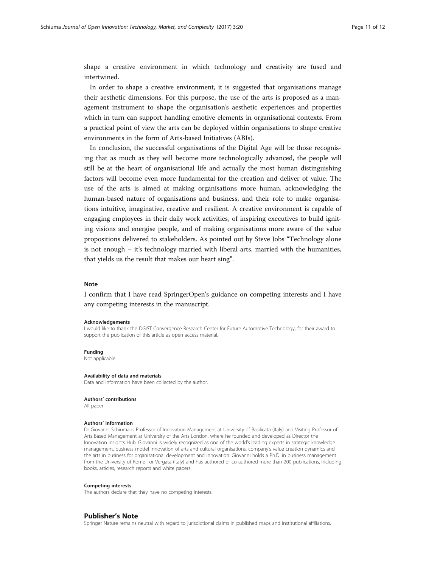shape a creative environment in which technology and creativity are fused and intertwined.

In order to shape a creative environment, it is suggested that organisations manage their aesthetic dimensions. For this purpose, the use of the arts is proposed as a management instrument to shape the organisation's aesthetic experiences and properties which in turn can support handling emotive elements in organisational contexts. From a practical point of view the arts can be deployed within organisations to shape creative environments in the form of Arts-based Initiatives (ABIs).

In conclusion, the successful organisations of the Digital Age will be those recognising that as much as they will become more technologically advanced, the people will still be at the heart of organisational life and actually the most human distinguishing factors will become even more fundamental for the creation and deliver of value. The use of the arts is aimed at making organisations more human, acknowledging the human-based nature of organisations and business, and their role to make organisations intuitive, imaginative, creative and resilient. A creative environment is capable of engaging employees in their daily work activities, of inspiring executives to build igniting visions and energise people, and of making organisations more aware of the value propositions delivered to stakeholders. As pointed out by Steve Jobs "Technology alone is not enough – it's technology married with liberal arts, married with the humanities, that yields us the result that makes our heart sing".

## Note

I confirm that I have read SpringerOpen's guidance on competing interests and I have any competing interests in the manuscript.

#### Acknowledgements

I would like to thank the DGIST Convergence Research Center for Future Automotive Technology, for their award to support the publication of this article as open access material.

#### Funding

Not applicable.

Availability of data and materials Data and information have been collected by the author.

#### Authors' contributions

All paper

#### Authors' information

Dr Giovanni Schiuma is Professor of Innovation Management at University of Basilicata (Italy) and Visiting Professor of Arts Based Management at University of the Arts London, where he founded and developed as Director the Innovation Insights Hub. Giovanni is widely recognized as one of the world's leading experts in strategic knowledge management, business model innovation of arts and cultural organisations, company's value creation dynamics and the arts in business for organisational development and innovation. Giovanni holds a Ph.D. in business management from the University of Rome Tor Vergata (Italy) and has authored or co-authored more than 200 publications, including books, articles, research reports and white papers.

#### Competing interests

The authors declare that they have no competing interests.

## Publisher's Note

Springer Nature remains neutral with regard to jurisdictional claims in published maps and institutional affiliations.